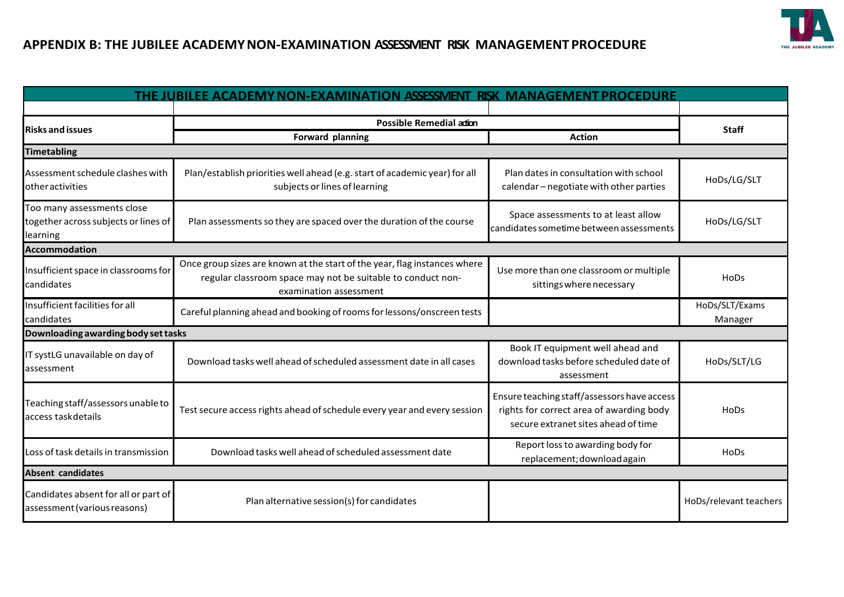

## **APPENDIX B: THE JUBILEE ACADEMYNON-EXAMINATION ASSESSMENT RISK MANAGEMENTPROCEDURE**

| THE JUBILEE ACADEMY NON-EXAMINATION ASSESSMENT RISK MANAGEMENT PROCEDURE       |                                                                                                                                                                    |                                                                                                                                |                           |
|--------------------------------------------------------------------------------|--------------------------------------------------------------------------------------------------------------------------------------------------------------------|--------------------------------------------------------------------------------------------------------------------------------|---------------------------|
| <b>Risks and issues</b>                                                        | Possible Remedial adion                                                                                                                                            |                                                                                                                                |                           |
|                                                                                | Forward planning                                                                                                                                                   | <b>Action</b>                                                                                                                  | <b>Staff</b>              |
| <b>Timetabling</b>                                                             |                                                                                                                                                                    |                                                                                                                                |                           |
| Assessment schedule clashes with<br>other activities                           | Plan/establish priorities well ahead (e.g. start of academic year) for all<br>subjects or lines of learning                                                        | Plan dates in consultation with school<br>calendar-negotiate with other parties                                                | HoDs/LG/SLT               |
| Too many assessments close<br>together across subjects or lines of<br>learning | Plan assessments so they are spaced over the duration of the course                                                                                                | Space assessments to at least allow<br>candidates sometime between assessments                                                 | HoDs/LG/SLT               |
| <b>Accommodation</b>                                                           |                                                                                                                                                                    |                                                                                                                                |                           |
| Insufficient space in classrooms for<br>candidates                             | Once group sizes are known at the start of the year, flag instances where<br>regular classroom space may not be suitable to conduct non-<br>examination assessment | Use more than one classroom or multiple<br>sittings where necessary                                                            | <b>HoDs</b>               |
| Insufficient facilities for all<br>candidates                                  | Careful planning ahead and booking of rooms for lessons/onscreen tests                                                                                             |                                                                                                                                | HoDs/SLT/Exams<br>Manager |
| Downloading awarding body set tasks                                            |                                                                                                                                                                    |                                                                                                                                |                           |
| IT systLG unavailable on day of<br>assessment                                  | Download tasks well ahead of scheduled assessment date in all cases                                                                                                | Book IT equipment well ahead and<br>download tasks before scheduled date of<br>assessment                                      | HoDs/SLT/LG               |
| Teaching staff/assessors unable to<br>access taskdetails                       | Test secure access rights ahead of schedule every year and every session                                                                                           | Ensure teaching staff/assessors have access<br>rights for correct area of awarding body<br>secure extranet sites ahead of time | HoDs                      |
| Loss of task details in transmission                                           | Download tasks well ahead of scheduled assessment date                                                                                                             | Report loss to awarding body for<br>replacement; download again                                                                | HoDs                      |
| <b>Absent candidates</b>                                                       |                                                                                                                                                                    |                                                                                                                                |                           |
| Candidates absent for all or part of<br>assessment (various reasons)           | Plan alternative session(s) for candidates                                                                                                                         |                                                                                                                                | HoDs/relevant teachers    |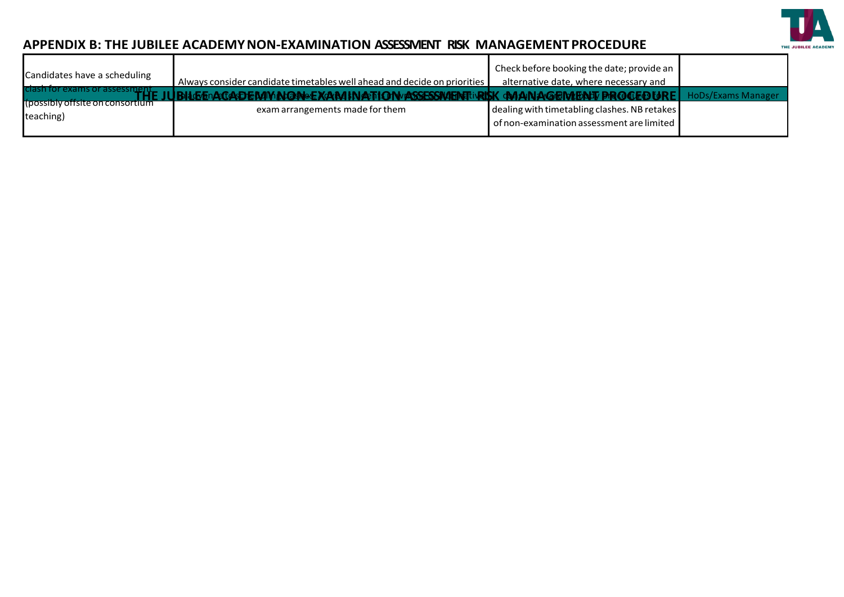

## APPENDIX B: THE JUBILEE ACADEMY NON-EXAMINATION ASSESSMENT RISK MANAGEMENT PROCEDURE

| Candidates have a scheduling                                                  | Always consider candidate timetables well ahead and decide on priorities                                  | Check before booking the date; provide an<br>alternative date, where necessary and                                          |                    |
|-------------------------------------------------------------------------------|-----------------------------------------------------------------------------------------------------------|-----------------------------------------------------------------------------------------------------------------------------|--------------------|
| clash for exams or assessment<br>(possibly offsite on consortium<br>teaching) | <b>Fn A-ff AAT JE NAM AN FANIA E XAN A IN A-TH ONWARRESRNAFINATIVR</b><br>exam arrangements made for them | <b>GMANAGEMENT PROCFOISELL</b><br>dealing with timetabling clashes. NB retakes<br>of non-examination assessment are limited | HoDs/Exams Manager |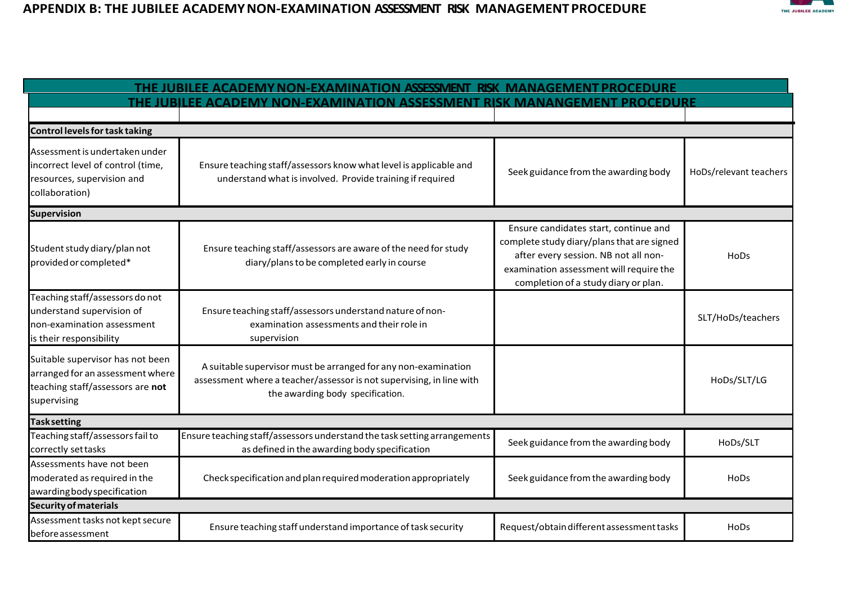

| THE JUBILEE ACADEMY NON-EXAMINATION ASSESSMENT RISK MANAGEMENT PROCEDURE                                                |                                                                                                                                                                            |                                                                                                                                                                                                                |                        |
|-------------------------------------------------------------------------------------------------------------------------|----------------------------------------------------------------------------------------------------------------------------------------------------------------------------|----------------------------------------------------------------------------------------------------------------------------------------------------------------------------------------------------------------|------------------------|
| THE JUBILEE ACADEMY NON-EXAMINATION ASSESSMENT RISK MANANGEMENT PROCEDURE                                               |                                                                                                                                                                            |                                                                                                                                                                                                                |                        |
|                                                                                                                         |                                                                                                                                                                            |                                                                                                                                                                                                                |                        |
| Control levels for task taking                                                                                          |                                                                                                                                                                            |                                                                                                                                                                                                                |                        |
| Assessment is undertaken under<br>incorrect level of control (time,<br>resources, supervision and<br>collaboration)     | Ensure teaching staff/assessors know what level is applicable and<br>understand what is involved. Provide training if required                                             | Seek guidance from the awarding body                                                                                                                                                                           | HoDs/relevant teachers |
| <b>Supervision</b>                                                                                                      |                                                                                                                                                                            |                                                                                                                                                                                                                |                        |
| Student study diary/plan not<br>provided or completed*                                                                  | Ensure teaching staff/assessors are aware of the need for study<br>diary/plans to be completed early in course                                                             | Ensure candidates start, continue and<br>complete study diary/plans that are signed<br>after every session. NB not all non-<br>examination assessment will require the<br>completion of a study diary or plan. | HoDs                   |
| Teaching staff/assessors do not<br>understand supervision of<br>non-examination assessment<br>is their responsibility   | Ensure teaching staff/assessors understand nature of non-<br>examination assessments and their role in<br>supervision                                                      |                                                                                                                                                                                                                | SLT/HoDs/teachers      |
| Suitable supervisor has not been<br>arranged for an assessment where<br>teaching staff/assessors are not<br>supervising | A suitable supervisor must be arranged for any non-examination<br>assessment where a teacher/assessor is not supervising, in line with<br>the awarding body specification. |                                                                                                                                                                                                                | HoDs/SLT/LG            |
| <b>Task setting</b>                                                                                                     |                                                                                                                                                                            |                                                                                                                                                                                                                |                        |
| Teaching staff/assessors fail to<br>correctly set tasks                                                                 | Ensure teaching staff/assessors understand the task setting arrangements<br>as defined in the awarding body specification                                                  | Seek guidance from the awarding body                                                                                                                                                                           | HoDs/SLT               |
| Assessments have not been<br>moderated as required in the<br>awarding body specification                                | Check specification and plan required moderation appropriately                                                                                                             | Seek guidance from the awarding body                                                                                                                                                                           | <b>HoDs</b>            |
| <b>Security of materials</b>                                                                                            |                                                                                                                                                                            |                                                                                                                                                                                                                |                        |
| Assessment tasks not kept secure<br>beforeassessment                                                                    | Ensure teaching staff understand importance of task security                                                                                                               | Request/obtain different assessment tasks                                                                                                                                                                      | HoDs                   |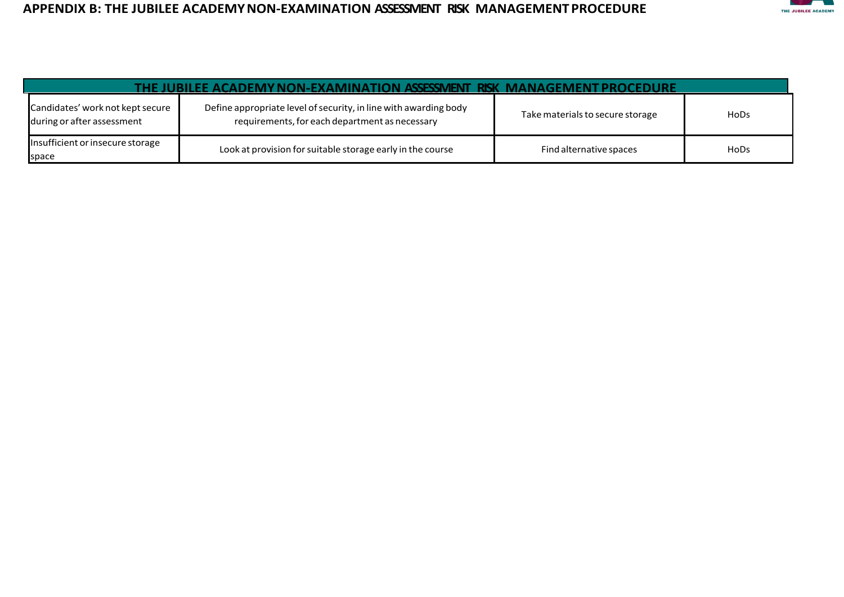

| THE JUBILEE ACADEMY NON-EXAMINATION ASSESSMENT RISK MANAGEMENT PROCEDURE |                                                                                                                    |                                  |             |
|--------------------------------------------------------------------------|--------------------------------------------------------------------------------------------------------------------|----------------------------------|-------------|
| Candidates' work not kept secure<br>during or after assessment           | Define appropriate level of security, in line with awarding body<br>requirements, for each department as necessary | Take materials to secure storage | HoDs        |
| Insufficient or insecure storage<br>space                                | Look at provision for suitable storage early in the course                                                         | Find alternative spaces          | <b>HoDs</b> |